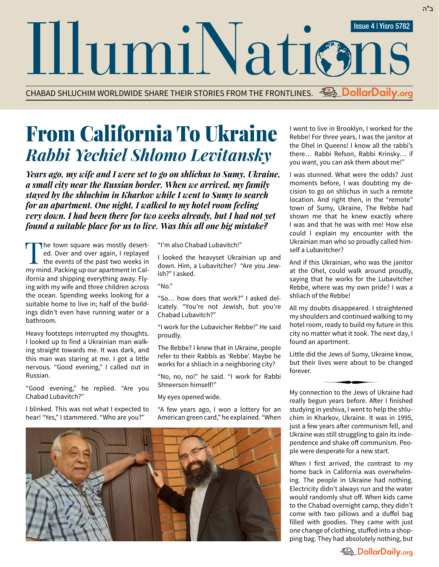CHABAD SHLUCHIM WORLDWIDE SHARE THEIR STORIES FROM THE FRONTLINES. **DollarDaily.org**

## From California To Ukraine *Rabbi Yechiel Shlomo Levitansky*

*Years ago, my wife and I were set to go on shlichus to Sumy, Ukraine, a small city near the Russian border. When we arrived, my family stayed by the shluchim in Kharkov while I went to Sumy to search for an apartment. One night, I walked to my hotel room feeling very down. I had been there for two weeks already, but I had not yet found a suitable place for us to live. Was this all one big mistake?*

The town square was mostly deserted. Over and over again, I replayed<br>the events of the past two weeks in ed. Over and over again, I replayed my mind. Packing up our apartment in California and shipping everything away. Flying with my wife and three children across the ocean. Spending weeks looking for a suitable home to live in; half of the buildings didn't even have running water or a bathroom.

Heavy footsteps interrupted my thoughts. I looked up to find a Ukrainian man walking straight towards me. It was dark, and this man was staring at me. I got a little nervous. "Good evening," I called out in Russian.

"Good evening," he replied. "Are you Chabad Lubavitch?"

I blinked. This was not what I expected to hear! "Yes," I stammered. "Who are you?"

"I'm also Chabad Lubavitch!"

I looked the heavyset Ukrainian up and down. Him, a Lubavitcher? "Are you Jewish?" I asked.

" $N<sub>0</sub>$ "

"So… how does that work?" I asked delicately. "You're not Jewish, but you're Chabad Lubavitch?"

"I work for the Lubavicher Rebbe!" He said proudly.

The Rebbe? I knew that in Ukraine, people refer to their Rabbis as 'Rebbe'. Maybe he works for a shliach in a neighboring city?

"No, no, no!" he said. "I work for Rabbi Shneerson himself!"

My eyes opened wide.

"A few years ago, I won a lottery for an American green card," he explained. "When



I went to live in Brooklyn, I worked for the Rebbe! For three years, I was the janitor at the Ohel in Queens! I know all the rabbi's there… Rabbi Refson, Rabbi Krinsky… if you want, you can ask them about me!"

ב"ה

I was stunned. What were the odds? Just moments before, I was doubting my decision to go on shlichus in such a remote location. And right then, in the "remote" town of Sumy, Ukraine, The Rebbe had shown me that he knew exactly where I was and that he was with me! How else could I explain my encounter with the Ukrainian man who so proudly called himself a Lubavitcher?

And if this Ukrainian, who was the janitor at the Ohel, could walk around proudly, saying that he works for the Lubavitcher Rebbe, where was my own pride? I was a shliach of the Rebbe!

All my doubts disappeared. I straightened my shoulders and continued walking to my hotel room, ready to build my future in this city no matter what it took. The next day, I found an apartment.

Little did the Jews of Sumy, Ukraine know, but their lives were about to be changed forever. ∑

My connection to the Jews of Ukraine had really begun years before. After I finished studying in yeshiva, I went to help the shlu chim in Kharkov, Ukraine. It was in 1995, just a few years after communism fell, and Ukraine was still struggling to gain its independence and shake off communism. People were desperate for a new start.

When I first arrived, the contrast to my home back in California was overwhelming. The people in Ukraine had nothing. Electricity didn't always run and the water would randomly shut off. When kids came to the Chabad overnight camp, they didn't come with two pillows and a duffel bag filled with goodies. They came with just one change of clothing, stuffed into a shopping bag. They had absolutely nothing, but